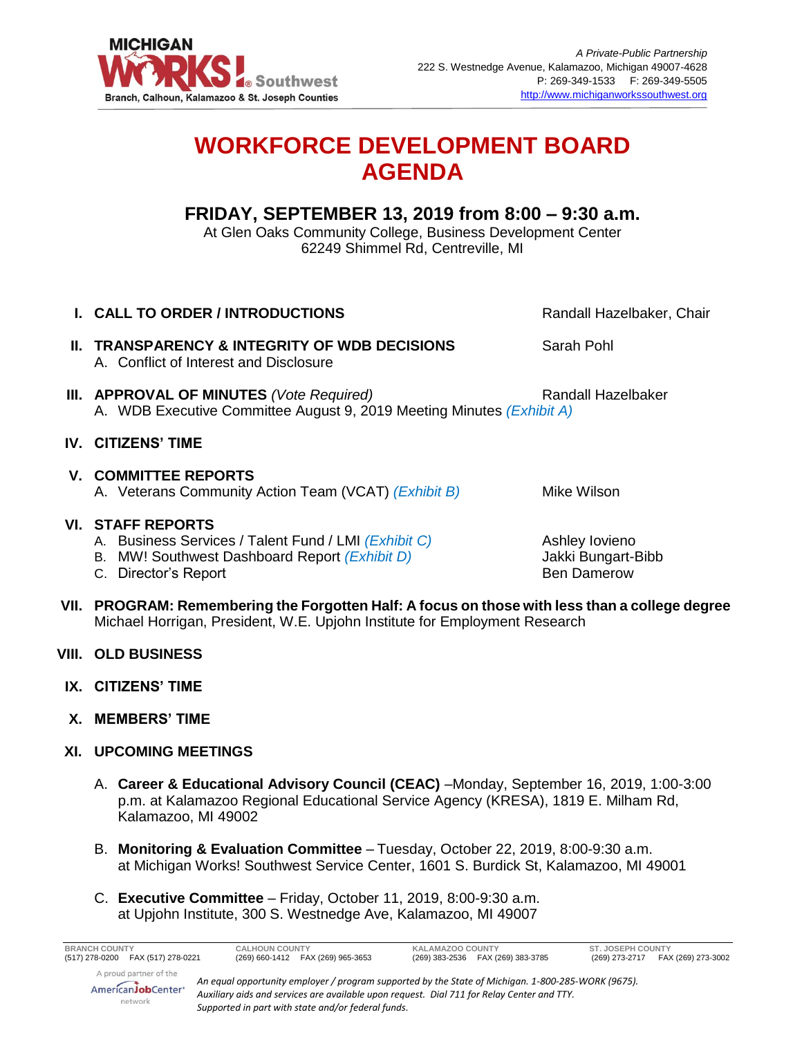

## **WORKFORCE DEVELOPMENT BOARD AGENDA**

## **FRIDAY, SEPTEMBER 13, 2019 from 8:00 – 9:30 a.m.**

At Glen Oaks Community College, Business Development Center 62249 Shimmel Rd, Centreville, MI

- **I. CALL TO ORDER / INTRODUCTIONS Randall Hazelbaker, Chair Randall Hazelbaker**, Chair **II. TRANSPARENCY & INTEGRITY OF WDB DECISIONS** Sarah Pohl A. Conflict of Interest and Disclosure **III. APPROVAL OF MINUTES** *(Vote Required)* Randall Hazelbaker A. WDB Executive Committee August 9, 2019 Meeting Minutes *(Exhibit A)* **IV. CITIZENS' TIME V. COMMITTEE REPORTS** A. Veterans Community Action Team (VCAT) *(Exhibit B)* Mike Wilson **VI. STAFF REPORTS**  A. Business Services / Talent Fund / LMI *(Exhibit C)* Ashley Iovieno B. MW! Southwest Dashboard Report *(Exhibit D)* Jakki Bungart-Bibb C. Director's Report **Ben Damerow Ben Damerow**
- **VII. PROGRAM: Remembering the Forgotten Half: A focus on those with less than a college degree** Michael Horrigan, President, W.E. Upjohn Institute for Employment Research
- **VIII. OLD BUSINESS**
- **IX. CITIZENS' TIME**
- **X. MEMBERS' TIME**
- **XI. UPCOMING MEETINGS**
	- A. **Career & Educational Advisory Council (CEAC)** –Monday, September 16, 2019, 1:00-3:00 p.m. at Kalamazoo Regional Educational Service Agency (KRESA), 1819 E. Milham Rd, Kalamazoo, MI 49002
	- B. **Monitoring & Evaluation Committee** Tuesday, October 22, 2019, 8:00-9:30 a.m. at Michigan Works! Southwest Service Center, 1601 S. Burdick St, Kalamazoo, MI 49001
	- C. **Executive Committee** Friday, October 11, 2019, 8:00-9:30 a.m. at Upjohn Institute, 300 S. Westnedge Ave, Kalamazoo, MI 49007